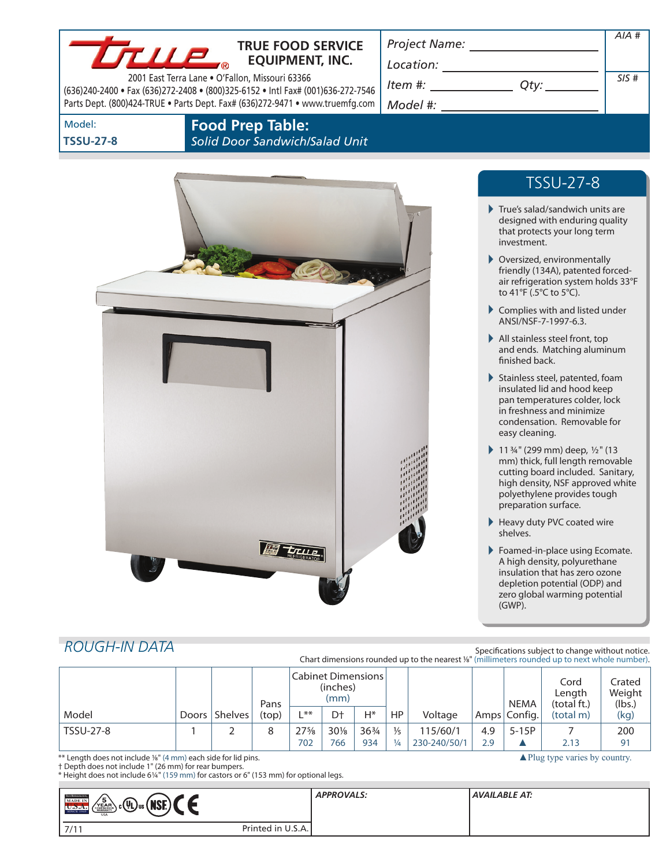### **TRUE FOOD SERVICE EQUIPMENT, INC.**

2001 East Terra Lane • O'Fallon, Missouri 63366 (636)240-2400 • Fax (636)272-2408 • (800)325-6152 • Intl Fax# (001)636-272-7546 Parts Dept. (800)424-TRUE • Parts Dept. Fax# (636)272-9471 • www.truemfg.com

*Project Name:*

*Location:*

*Item #:*  $\sqrt{\frac{2}{\pi}}$ *Model #:*

| Qty: |  |
|------|--|
|      |  |

Model: **TSSU-27-8** **Food Prep Table:**

*Solid Door Sandwich/Salad Unit*



# TSSU-27-8

*AIA #*

*SIS #*

- True's salad/sandwich units are designed with enduring quality that protects your long term investment.
- Oversized, environmentally friendly (134A), patented forcedair refrigeration system holds 33°F to 41°F (.5°C to 5°C).
- Complies with and listed under ANSI/NSF-7-1997-6.3.
- All stainless steel front, top and ends. Matching aluminum finished back.
- Stainless steel, patented, foam insulated lid and hood keep pan temperatures colder, lock in freshness and minimize condensation. Removable for easy cleaning.
- 11 $\frac{3}{4}$ " (299 mm) deep,  $\frac{1}{2}$ " (13 mm) thick, full length removable cutting board included. Sanitary, high density, NSF approved white polyethylene provides tough preparation surface.
- Heavy duty PVC coated wire shelves.
- ▶ Foamed-in-place using Ecomate. A high density, polyurethane insulation that has zero ozone depletion potential (ODP) and zero global warming potential (GWP).

▲Plug type varies by country.

## *Rough-In Data*

Specifications subject to change without notice. Chart dimensions rounded up to the nearest %" (millimeters rounded up to next whole number).

|                  |                   | Pans  | Cabinet Dimensions<br>(inches)<br>(mm) |        |                 |               |              | <b>NEMA</b> | Cord<br>Length<br>(total ft.) | Crated<br>Weight<br>(lbs.) |      |
|------------------|-------------------|-------|----------------------------------------|--------|-----------------|---------------|--------------|-------------|-------------------------------|----------------------------|------|
| Model            | Doors   Shelves ' | (top) | $**$                                   | Dt     | H*              | HP            | Voltage      |             | Amps Config.                  | (total m)                  | (kg) |
| <b>TSSU-27-8</b> |                   | 8     | $27\frac{5}{8}$                        | $30\%$ | $36\frac{3}{4}$ | $\frac{1}{5}$ | 115/60/1     | 4.9         | $5-15P$                       |                            | 200  |
|                  |                   |       | 702                                    | 766    | 934             | $\frac{1}{4}$ | 230-240/50/1 | 2.9         |                               | 2.13                       | 91   |

\*\* Length does not include 1/8" (4 mm) each side for lid pins.

† Depth does not include 1" (26 mm) for rear bumpers.

\* Height does not include 61/4" (159 mm) for castors or 6" (153 mm) for optional legs.

| <b>TRIK REFEREEMENT</b><br>$\int_{\mathbb{R}^2}$ ( $\int_{\mathbb{R}^2}$ $\int_{\mathbb{R}^2}$<br>- 5<br><b>MADE IN</b><br><b>MAI</b><br>YEAR<br>иэ.<br>U.D.A.<br><b>SINCE 194</b><br><b>USA</b> |                   | <b>APPROVALS:</b> | AVAILABLE AT: |
|--------------------------------------------------------------------------------------------------------------------------------------------------------------------------------------------------|-------------------|-------------------|---------------|
| 7/1                                                                                                                                                                                              | Printed in U.S.A. |                   |               |